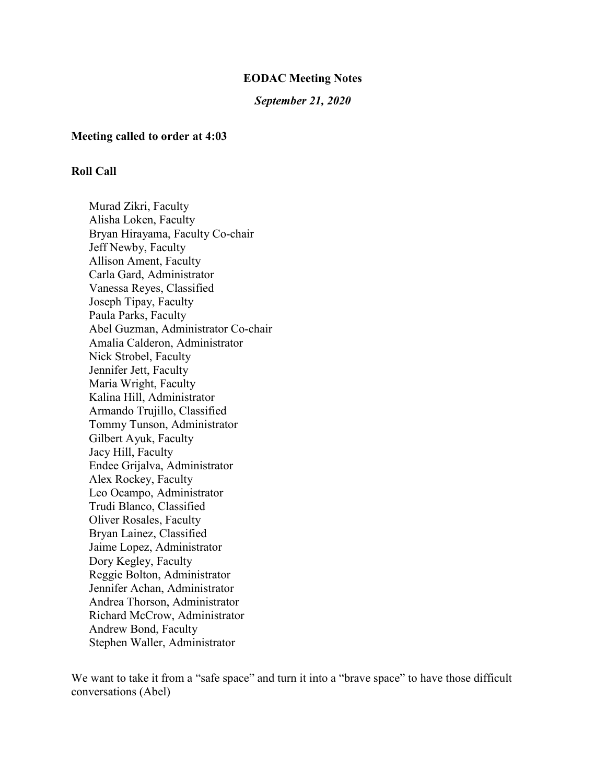#### **EODAC Meeting Notes**

#### *September 21, 2020*

#### **Meeting called to order at 4:03**

#### **Roll Call**

Murad Zikri, Faculty Alisha Loken, Faculty Bryan Hirayama, Faculty Co-chair Jeff Newby, Faculty Allison Ament, Faculty Carla Gard, Administrator Vanessa Reyes, Classified Joseph Tipay, Faculty Paula Parks, Faculty Abel Guzman, Administrator Co-chair Amalia Calderon, Administrator Nick Strobel, Faculty Jennifer Jett, Faculty Maria Wright, Faculty Kalina Hill, Administrator Armando Trujillo, Classified Tommy Tunson, Administrator Gilbert Ayuk, Faculty Jacy Hill, Faculty Endee Grijalva, Administrator Alex Rockey, Faculty Leo Ocampo, Administrator Trudi Blanco, Classified Oliver Rosales, Faculty Bryan Lainez, Classified Jaime Lopez, Administrator Dory Kegley, Faculty Reggie Bolton, Administrator Jennifer Achan, Administrator Andrea Thorson, Administrator Richard McCrow, Administrator Andrew Bond, Faculty Stephen Waller, Administrator

We want to take it from a "safe space" and turn it into a "brave space" to have those difficult conversations (Abel)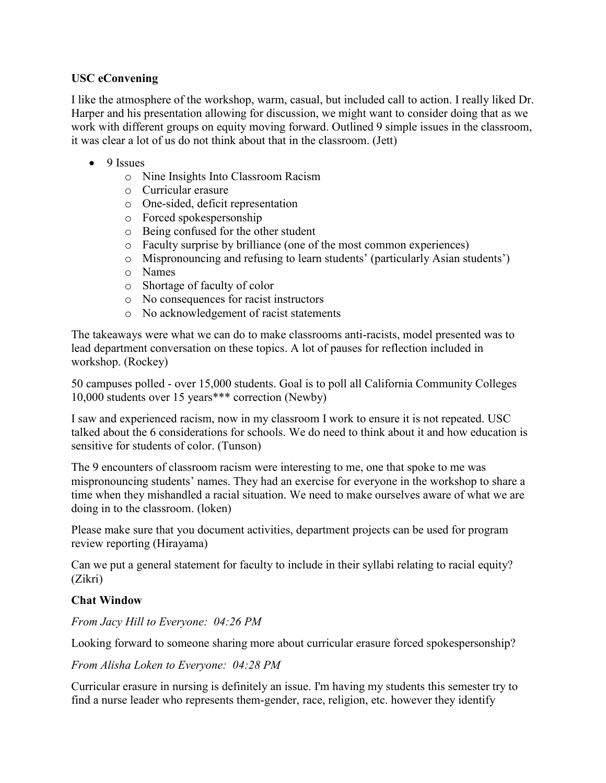## **USC eConvening**

I like the atmosphere of the workshop, warm, casual, but included call to action. I really liked Dr. Harper and his presentation allowing for discussion, we might want to consider doing that as we work with different groups on equity moving forward. Outlined 9 simple issues in the classroom, it was clear a lot of us do not think about that in the classroom. (Jett)

- 9 Issues
	- o Nine Insights Into Classroom Racism
	- o Curricular erasure
	- o One-sided, deficit representation
	- o Forced spokespersonship
	- o Being confused for the other student
	- o Faculty surprise by brilliance (one of the most common experiences)
	- o Mispronouncing and refusing to learn students' (particularly Asian students')
	- o Names
	- o Shortage of faculty of color
	- o No consequences for racist instructors
	- o No acknowledgement of racist statements

The takeaways were what we can do to make classrooms anti-racists, model presented was to lead department conversation on these topics. A lot of pauses for reflection included in workshop. (Rockey)

50 campuses polled - over 15,000 students. Goal is to poll all California Community Colleges 10,000 students over 15 years\*\*\* correction (Newby)

I saw and experienced racism, now in my classroom I work to ensure it is not repeated. USC talked about the 6 considerations for schools. We do need to think about it and how education is sensitive for students of color. (Tunson)

The 9 encounters of classroom racism were interesting to me, one that spoke to me was mispronouncing students' names. They had an exercise for everyone in the workshop to share a time when they mishandled a racial situation. We need to make ourselves aware of what we are doing in to the classroom. (loken)

Please make sure that you document activities, department projects can be used for program review reporting (Hirayama)

Can we put a general statement for faculty to include in their syllabi relating to racial equity? (Zikri)

## **Chat Window**

*From Jacy Hill to Everyone: 04:26 PM*

Looking forward to someone sharing more about curricular erasure forced spokespersonship?

#### *From Alisha Loken to Everyone: 04:28 PM*

Curricular erasure in nursing is definitely an issue. I'm having my students this semester try to find a nurse leader who represents them-gender, race, religion, etc. however they identify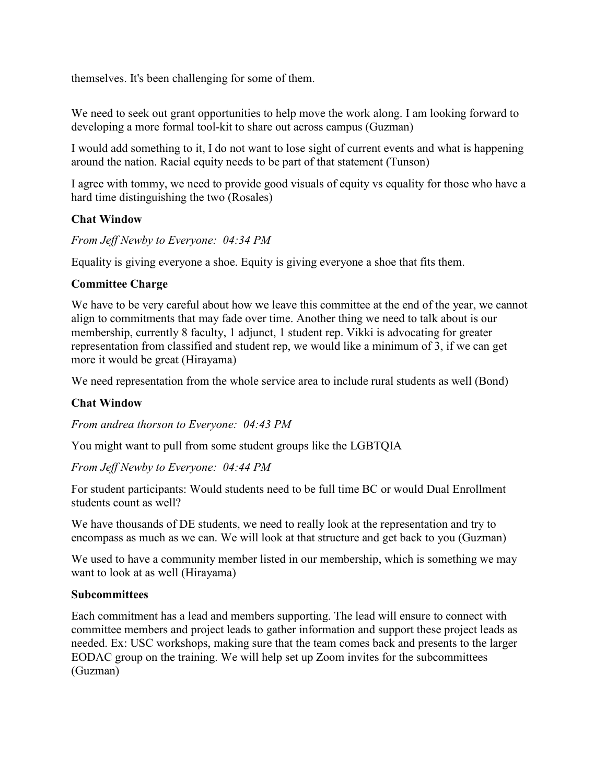themselves. It's been challenging for some of them.

We need to seek out grant opportunities to help move the work along. I am looking forward to developing a more formal tool-kit to share out across campus (Guzman)

I would add something to it, I do not want to lose sight of current events and what is happening around the nation. Racial equity needs to be part of that statement (Tunson)

I agree with tommy, we need to provide good visuals of equity vs equality for those who have a hard time distinguishing the two (Rosales)

## **Chat Window**

*From Jeff Newby to Everyone: 04:34 PM*

Equality is giving everyone a shoe. Equity is giving everyone a shoe that fits them.

## **Committee Charge**

We have to be very careful about how we leave this committee at the end of the year, we cannot align to commitments that may fade over time. Another thing we need to talk about is our membership, currently 8 faculty, 1 adjunct, 1 student rep. Vikki is advocating for greater representation from classified and student rep, we would like a minimum of 3, if we can get more it would be great (Hirayama)

We need representation from the whole service area to include rural students as well (Bond)

#### **Chat Window**

*From andrea thorson to Everyone: 04:43 PM*

You might want to pull from some student groups like the LGBTQIA

*From Jeff Newby to Everyone: 04:44 PM*

For student participants: Would students need to be full time BC or would Dual Enrollment students count as well?

We have thousands of DE students, we need to really look at the representation and try to encompass as much as we can. We will look at that structure and get back to you (Guzman)

We used to have a community member listed in our membership, which is something we may want to look at as well (Hirayama)

#### **Subcommittees**

Each commitment has a lead and members supporting. The lead will ensure to connect with committee members and project leads to gather information and support these project leads as needed. Ex: USC workshops, making sure that the team comes back and presents to the larger EODAC group on the training. We will help set up Zoom invites for the subcommittees (Guzman)